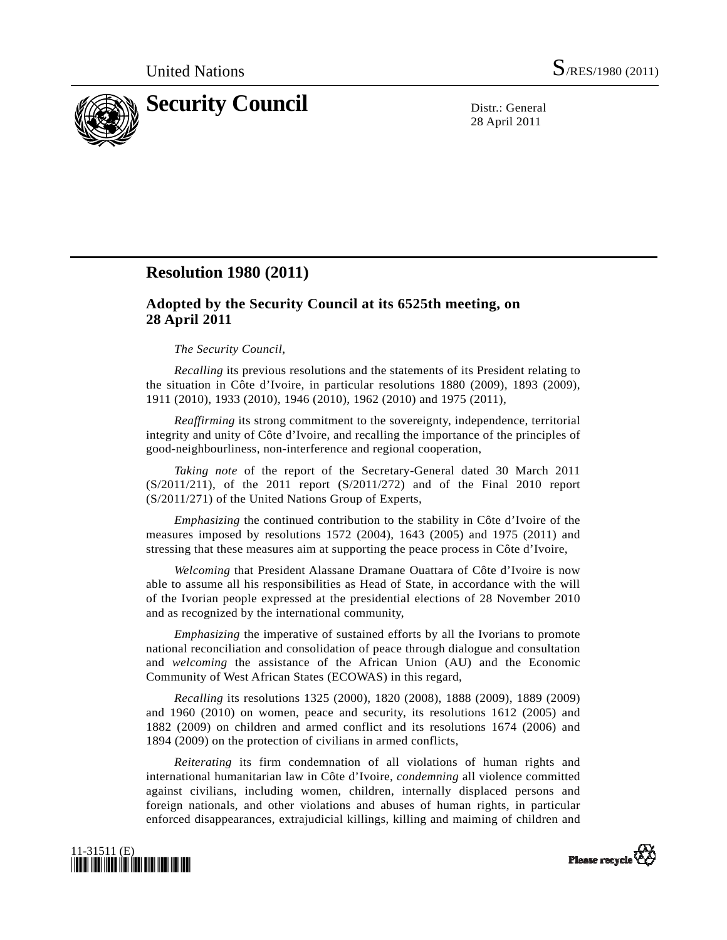

28 April 2011

## **Resolution 1980 (2011)**

## **Adopted by the Security Council at its 6525th meeting, on 28 April 2011**

## *The Security Council*,

*Recalling* its previous resolutions and the statements of its President relating to the situation in Côte d'Ivoire, in particular resolutions 1880 (2009), 1893 (2009), 1911 (2010), 1933 (2010), 1946 (2010), 1962 (2010) and 1975 (2011),

*Reaffirming* its strong commitment to the sovereignty, independence, territorial integrity and unity of Côte d'Ivoire, and recalling the importance of the principles of good-neighbourliness, non-interference and regional cooperation,

*Taking note* of the report of the Secretary-General dated 30 March 2011  $(S/2011/211)$ , of the 2011 report  $(S/2011/272)$  and of the Final 2010 report (S/2011/271) of the United Nations Group of Experts,

*Emphasizing* the continued contribution to the stability in Côte d'Ivoire of the measures imposed by resolutions 1572 (2004), 1643 (2005) and 1975 (2011) and stressing that these measures aim at supporting the peace process in Côte d'Ivoire,

*Welcoming* that President Alassane Dramane Ouattara of Côte d'Ivoire is now able to assume all his responsibilities as Head of State, in accordance with the will of the Ivorian people expressed at the presidential elections of 28 November 2010 and as recognized by the international community,

*Emphasizing* the imperative of sustained efforts by all the Ivorians to promote national reconciliation and consolidation of peace through dialogue and consultation and *welcoming* the assistance of the African Union (AU) and the Economic Community of West African States (ECOWAS) in this regard,

*Recalling* its resolutions 1325 (2000), 1820 (2008), 1888 (2009), 1889 (2009) and 1960 (2010) on women, peace and security, its resolutions 1612 (2005) and 1882 (2009) on children and armed conflict and its resolutions 1674 (2006) and 1894 (2009) on the protection of civilians in armed conflicts,

*Reiterating* its firm condemnation of all violations of human rights and international humanitarian law in Côte d'Ivoire, *condemning* all violence committed against civilians, including women, children, internally displaced persons and foreign nationals, and other violations and abuses of human rights, in particular enforced disappearances, extrajudicial killings, killing and maiming of children and



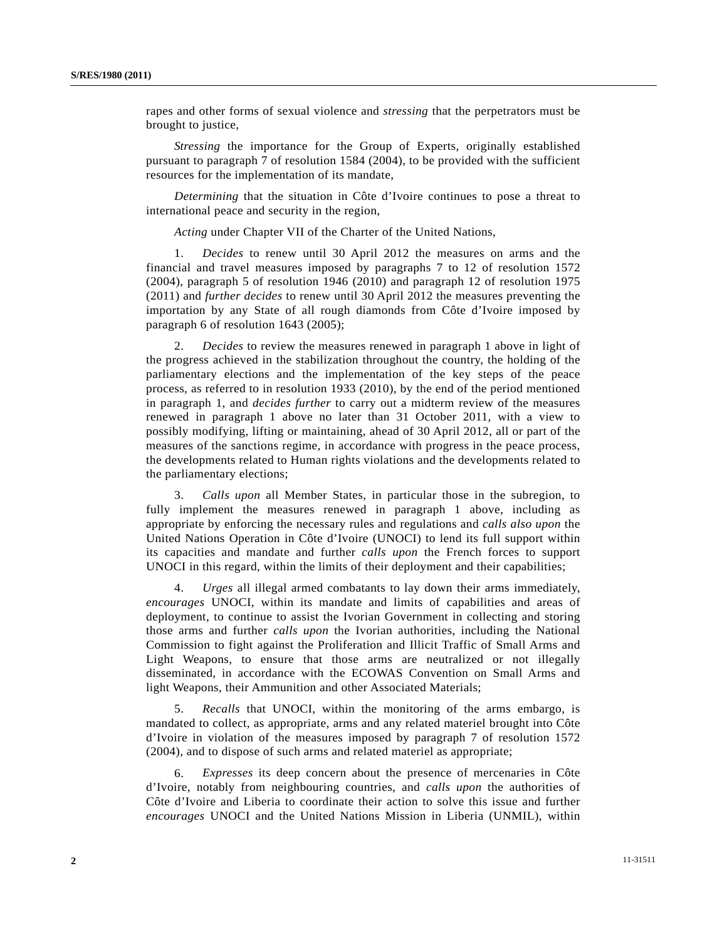rapes and other forms of sexual violence and *stressing* that the perpetrators must be brought to justice,

*Stressing* the importance for the Group of Experts, originally established pursuant to paragraph 7 of resolution 1584 (2004), to be provided with the sufficient resources for the implementation of its mandate,

*Determining* that the situation in Côte d'Ivoire continues to pose a threat to international peace and security in the region,

*Acting* under Chapter VII of the Charter of the United Nations,

 1. *Decides* to renew until 30 April 2012 the measures on arms and the financial and travel measures imposed by paragraphs 7 to 12 of resolution 1572 (2004), paragraph 5 of resolution 1946 (2010) and paragraph 12 of resolution 1975 (2011) and *further decides* to renew until 30 April 2012 the measures preventing the importation by any State of all rough diamonds from Côte d'Ivoire imposed by paragraph 6 of resolution 1643 (2005);

 2. *Decides* to review the measures renewed in paragraph 1 above in light of the progress achieved in the stabilization throughout the country, the holding of the parliamentary elections and the implementation of the key steps of the peace process, as referred to in resolution 1933 (2010), by the end of the period mentioned in paragraph 1, and *decides further* to carry out a midterm review of the measures renewed in paragraph 1 above no later than 31 October 2011, with a view to possibly modifying, lifting or maintaining, ahead of 30 April 2012, all or part of the measures of the sanctions regime, in accordance with progress in the peace process, the developments related to Human rights violations and the developments related to the parliamentary elections;

 3. *Calls upon* all Member States, in particular those in the subregion, to fully implement the measures renewed in paragraph 1 above, including as appropriate by enforcing the necessary rules and regulations and *calls also upon* the United Nations Operation in Côte d'Ivoire (UNOCI) to lend its full support within its capacities and mandate and further *calls upon* the French forces to support UNOCI in this regard, within the limits of their deployment and their capabilities;

 4. *Urges* all illegal armed combatants to lay down their arms immediately, *encourages* UNOCI, within its mandate and limits of capabilities and areas of deployment, to continue to assist the Ivorian Government in collecting and storing those arms and further *calls upon* the Ivorian authorities, including the National Commission to fight against the Proliferation and Illicit Traffic of Small Arms and Light Weapons, to ensure that those arms are neutralized or not illegally disseminated, in accordance with the ECOWAS Convention on Small Arms and light Weapons, their Ammunition and other Associated Materials;

 5. *Recalls* that UNOCI, within the monitoring of the arms embargo, is mandated to collect, as appropriate, arms and any related materiel brought into Côte d'Ivoire in violation of the measures imposed by paragraph 7 of resolution 1572 (2004), and to dispose of such arms and related materiel as appropriate;

 6. *Expresses* its deep concern about the presence of mercenaries in Côte d'Ivoire, notably from neighbouring countries, and *calls upon* the authorities of Côte d'Ivoire and Liberia to coordinate their action to solve this issue and further *encourages* UNOCI and the United Nations Mission in Liberia (UNMIL), within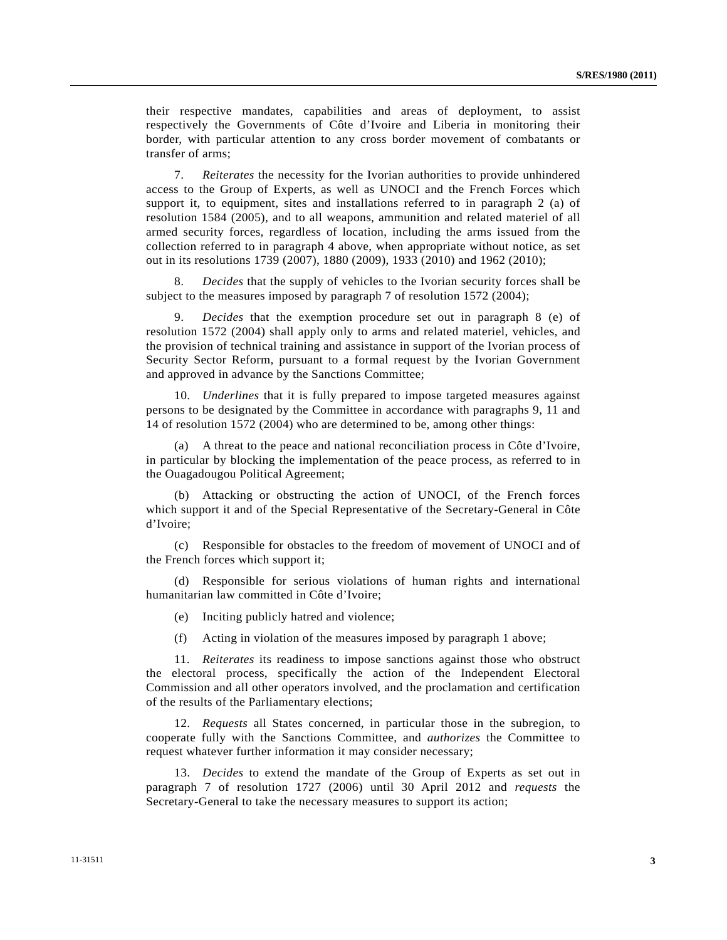their respective mandates, capabilities and areas of deployment, to assist respectively the Governments of Côte d'Ivoire and Liberia in monitoring their border, with particular attention to any cross border movement of combatants or transfer of arms;

 7. *Reiterates* the necessity for the Ivorian authorities to provide unhindered access to the Group of Experts, as well as UNOCI and the French Forces which support it, to equipment, sites and installations referred to in paragraph 2 (a) of resolution 1584 (2005), and to all weapons, ammunition and related materiel of all armed security forces, regardless of location, including the arms issued from the collection referred to in paragraph 4 above, when appropriate without notice, as set out in its resolutions 1739 (2007), 1880 (2009), 1933 (2010) and 1962 (2010);

 8. *Decides* that the supply of vehicles to the Ivorian security forces shall be subject to the measures imposed by paragraph 7 of resolution 1572 (2004);

 9. *Decides* that the exemption procedure set out in paragraph 8 (e) of resolution 1572 (2004) shall apply only to arms and related materiel, vehicles, and the provision of technical training and assistance in support of the Ivorian process of Security Sector Reform, pursuant to a formal request by the Ivorian Government and approved in advance by the Sanctions Committee;

 10. *Underlines* that it is fully prepared to impose targeted measures against persons to be designated by the Committee in accordance with paragraphs 9, 11 and 14 of resolution 1572 (2004) who are determined to be, among other things:

 (a) A threat to the peace and national reconciliation process in Côte d'Ivoire, in particular by blocking the implementation of the peace process, as referred to in the Ouagadougou Political Agreement;

 (b) Attacking or obstructing the action of UNOCI, of the French forces which support it and of the Special Representative of the Secretary-General in Côte d'Ivoire;

 (c) Responsible for obstacles to the freedom of movement of UNOCI and of the French forces which support it;

 (d) Responsible for serious violations of human rights and international humanitarian law committed in Côte d'Ivoire;

(e) Inciting publicly hatred and violence;

(f) Acting in violation of the measures imposed by paragraph 1 above;

 11. *Reiterates* its readiness to impose sanctions against those who obstruct the electoral process, specifically the action of the Independent Electoral Commission and all other operators involved, and the proclamation and certification of the results of the Parliamentary elections;

 12. *Requests* all States concerned, in particular those in the subregion, to cooperate fully with the Sanctions Committee, and *authorizes* the Committee to request whatever further information it may consider necessary;

 13. *Decides* to extend the mandate of the Group of Experts as set out in paragraph 7 of resolution 1727 (2006) until 30 April 2012 and *requests* the Secretary-General to take the necessary measures to support its action;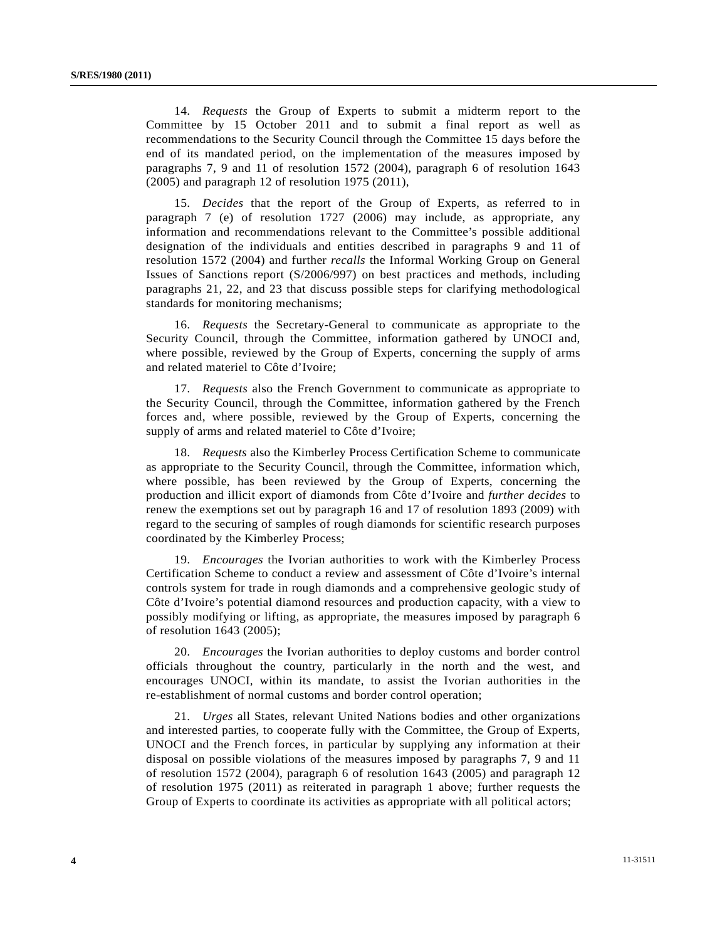14. *Requests* the Group of Experts to submit a midterm report to the Committee by 15 October 2011 and to submit a final report as well as recommendations to the Security Council through the Committee 15 days before the end of its mandated period, on the implementation of the measures imposed by paragraphs 7, 9 and 11 of resolution 1572 (2004), paragraph 6 of resolution 1643 (2005) and paragraph 12 of resolution 1975 (2011),

 15. *Decides* that the report of the Group of Experts, as referred to in paragraph 7 (e) of resolution 1727 (2006) may include, as appropriate, any information and recommendations relevant to the Committee's possible additional designation of the individuals and entities described in paragraphs 9 and 11 of resolution 1572 (2004) and further *recalls* the Informal Working Group on General Issues of Sanctions report (S/2006/997) on best practices and methods, including paragraphs 21, 22, and 23 that discuss possible steps for clarifying methodological standards for monitoring mechanisms;

 16. *Requests* the Secretary-General to communicate as appropriate to the Security Council, through the Committee, information gathered by UNOCI and, where possible, reviewed by the Group of Experts, concerning the supply of arms and related materiel to Côte d'Ivoire;

 17. *Requests* also the French Government to communicate as appropriate to the Security Council, through the Committee, information gathered by the French forces and, where possible, reviewed by the Group of Experts, concerning the supply of arms and related materiel to Côte d'Ivoire;

 18. *Requests* also the Kimberley Process Certification Scheme to communicate as appropriate to the Security Council, through the Committee, information which, where possible, has been reviewed by the Group of Experts, concerning the production and illicit export of diamonds from Côte d'Ivoire and *further decides* to renew the exemptions set out by paragraph 16 and 17 of resolution 1893 (2009) with regard to the securing of samples of rough diamonds for scientific research purposes coordinated by the Kimberley Process;

 19. *Encourages* the Ivorian authorities to work with the Kimberley Process Certification Scheme to conduct a review and assessment of Côte d'Ivoire's internal controls system for trade in rough diamonds and a comprehensive geologic study of Côte d'Ivoire's potential diamond resources and production capacity, with a view to possibly modifying or lifting, as appropriate, the measures imposed by paragraph 6 of resolution 1643 (2005);

 20. *Encourages* the Ivorian authorities to deploy customs and border control officials throughout the country, particularly in the north and the west, and encourages UNOCI, within its mandate, to assist the Ivorian authorities in the re-establishment of normal customs and border control operation;

 21. *Urges* all States, relevant United Nations bodies and other organizations and interested parties, to cooperate fully with the Committee, the Group of Experts, UNOCI and the French forces, in particular by supplying any information at their disposal on possible violations of the measures imposed by paragraphs 7, 9 and 11 of resolution 1572 (2004), paragraph 6 of resolution 1643 (2005) and paragraph 12 of resolution 1975 (2011) as reiterated in paragraph 1 above; further requests the Group of Experts to coordinate its activities as appropriate with all political actors;